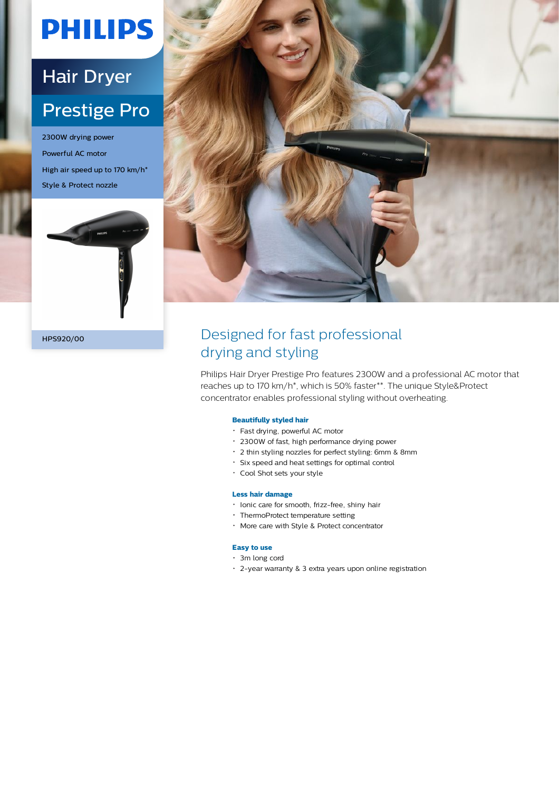# **PHILIPS**

## Hair Dryer Prestige Pro

2300W drying power Powerful AC motor High air speed up to 170 km/h\* Style & Protect nozzle





### HPS920/00 Designed for fast professional drying and styling

Philips Hair Dryer Prestige Pro features 2300W and a professional AC motor that reaches up to 170 km/h\*, which is 50% faster\*\*. The unique Style&Protect concentrator enables professional styling without overheating.

#### **Beautifully styled hair**

- Fast drying, powerful AC motor
- 2300W of fast, high performance drying power
- 2 thin styling nozzles for perfect styling: 6mm & 8mm
- Six speed and heat settings for optimal control
- Cool Shot sets your style

#### **Less hair damage**

- Ionic care for smooth, frizz-free, shiny hair
- ThermoProtect temperature setting
- More care with Style & Protect concentrator

#### **Easy to use**

- 3m long cord
- 2-year warranty & 3 extra years upon online registration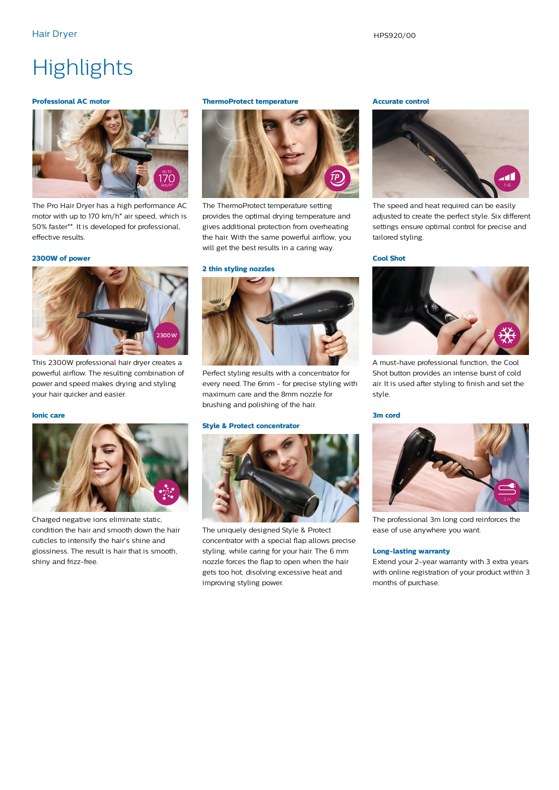### **Highlights**

#### **Professional AC motor**



The Pro Hair Dryer has a high performance AC motor with up to 170 km/h\* air speed, which is 50% faster\*\*. It is developed for professional, effective results.

#### **2300W of power**



This 2300W professional hair dryer creates a powerful airflow. The resulting combination of power and speed makes drying and styling your hair quicker and easier.

#### **Ionic care**



Charged negative ions eliminate static, condition the hair and smooth down the hair cuticles to intensify the hair's shine and glossiness. The result is hair that is smooth, shiny and frizz-free.

#### **ThermoProtect temperature**



The ThermoProtect temperature setting provides the optimal drying temperature and gives additional protection from overheating the hair. With the same powerful airflow, you will get the best results in a caring way.

#### **2 thin styling nozzles**



Perfect styling results with a concentrator for every need. The 6mm - for precise styling with maximum care and the 8mm nozzle for brushing and polishing of the hair.

#### **Style & Protect concentrator**



The uniquely designed Style & Protect concentrator with a special flap allows precise styling, while caring for your hair. The 6 mm nozzle forces the flap to open when the hair gets too hot, disolving excessive heat and improving styling power.

#### **Accurate control**



The speed and heat required can be easily adjusted to create the perfect style. Six different settings ensure optimal control for precise and tailored styling.

#### **Cool Shot**



A must-have professional function, the Cool Shot button provides an intense burst of cold air. It is used after styling to finish and set the style.

#### **3m cord**



The professional 3m long cord reinforces the ease of use anywhere you want.

#### **Long-lasting warranty**

Extend your 2-year warranty with 3 extra years with online registration of your product within 3 months of purchase.